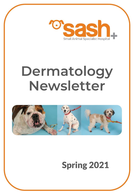

# **Dermatology Newsletter**



# Spring 2021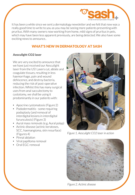

It has been a while since we sent a dermatology newsletter and we felt that now was a really good time to write to you as you may be seeing more patients presenting with pruritus. With many owners now working from home, mild signs of pruritus in pets, which may have been less apparent previously, are being detected. We also have some exciting news to announce..

# WHAT'S NEW IN DERMATOLOGY AT SASH

# Aesculight CO2 laser

We are very excited to announce that we have just received our Aesculight laser from the US! Lasers cut, ablate and coagulate tissues, resulting in less haemorrhage, pain and wound dehiscence, and destroy bacteria, reducing the risk of post-operative infection. Whilst this has many surgical uses from anal sacculectomy to cystotomy, we shall be using it predominantly in our patients with:

- Apocrine cystomatosis (Figure 2)
- Pododermatitis some requiring podoplasty (and removal of interdigital lesions in interdigital furunculosis) (Figure 3)
- Aural mass removals (e.g. Aural polyp)
- Actinic disease (actinic keratoses, SCC, haemangioma, skin resurface) (Figures 4)
- Pinnal ablation
- Viral papilloma removal
- Oral EGC removal



*Figure 1. Aesculight CO2 laser in action*



*Figure 2. Actinic disease*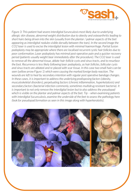

*Figure 3: This patient had severe interdigital furunculosis most likely due to underlying allergic skin disease, abnormal weight distribution due to obesity and osteoarthritis leading to short hairs being driven into the skin (usually from the plantar / palmar aspects of the feet appearing as interdigital nodules visible dorsally between the toes). In the second image the CO2 laser is used to excise the interdigital lesion with minimal haemorrhage. Partial fusion podoplasty may be appropriate where there are localised recurrent cystic hair follicles due to poor conformation. Laser podoplasty has minimal post-operative pain and a quicker recovery period (patients usually weight bear immediately after the procedure). The CO2 laser is used to remove all the abnormal tissue, ablate hair-follicle cysts and sinus tracts, and to resurface the foot. Recurrence is less likely following laser podoplasty, as hair follicles, follicular cysts and sinus tracts are ablated and re-placed with scar tissue. In this case two small hairs can be seen (yellow arrow Figure 1) which were causing the marked foreign body reaction. The wounds are left to heal by secondary intention with regular post operative bandage changes. In these cases, it is important to address the underlying predisposing factors (obesity, musculoskeletal disorders), perpetuating factors (chronic inflammation, hyperketatosis) and secondary factors (bacterial infection commonly, sometimes multidrug resistant bacteria). It is important to not only remove the interdigital lesion but to also address the pseudopad which is visible on the plantar and palmar aspects of the feet. Tip – when examining patients with interdigital fucunculosis, examine the underside of the feet to assess the pathology here (look for pseudopad formation as seen in this image along with hyperkeratotis).*

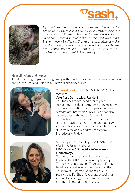



*Figure 4: Ceruminous cystomatosis is a syndrome that affects the concave pinna, external orifice, and occasionally external ear canal of cats causing otitis externa but it can be seen secondary to chronic otitis externa. It tends to affect middle-aged to older cats, but any age may be affected. There are multiple, often coalescing papules, vesicles, nodules, or plaques that are blue / grey / brown / black. If punctured, a yellowish to brown fluid may be expressed. The lesions can respond well to laser therapy.* 

#### New clinicians and nurses

The dermatology department is growing with Courtney and Sophie joining as clinicians and Lauren, Jess and Chloe as our new dermatology nurses





#### CourneyLudwigBSc BVMS MANZCVS (Feline Medicine)

#### Veterinary Dermatology Resident

Courtney has commenced a three year dermatology residency program having recently completed a rotating internship followed by a dermatology internship at SASH. She has also recently passed the Australian Membership examination in feline medicine. She is really excited to have embarked on her dermatology specialist training and will be seeing referral cases at North Ryde on a Monday, Wednesday, Thursday and Friday.

#### Sophie Tyler BVetMed DipECVD MANZCVS (Canine & Feline Medicine)

### EBVS® and RCVS specialist in Veterinary **Dermatology**

Sophie has joined us from the University of Bristol in the UK. She is consulting Monday, Tuesday, Wednesday and Thursday or Friday at North Ryde, and every other Thursday other Thursday at Tuggerah when the COVID-19 restrictions lift. She enjoys all aspects of small animal dermatology and is looking forward to getting to know our referring vets.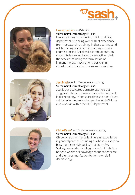



# Lauren Leffler CertVNECC Veterinary Dermatology Nurse

Lauren joins us from the SASH ICU and ECC department. She brings a wealth of experience from her extensive training in these settings and will be joining our other dermatology nurses Laura Salim and Karolien Eckert (currently on maternity leave) in playing a very active role in the service including the formulation of immunotherapy vaccinations, performing intradermal tests, anaesthesia and consulting.



# Jess Nash Cert IV Veterinary Nursing Veterinary Dermatology Nurse

Jess is our dedicated dermatology nurse at Tuggerah. She is enthusiastic about her new role in dermatology. In her spare time she runs a busy cat fostering and rehoming service. At SASH she also works in within the ECC department.



#### Chloe Ryan Cert IV Veterinary Nursing Veterinary Dermatology Nurse

Chloe joins us with excellent nursing experience in general practice, including as a head nurse for a busy multi-site high quality practice in SW Sydney, and as dermatology nurse for Linda. She brings a wealth of knowledge about patient care and client communication to her new role in dermatology.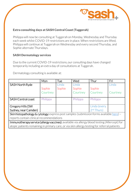

## Extra consulting days at SASH Central Coast (Tuggerah)

Philippa will now be consulting at Tuggerah on Monday, Wednesday and Thursday each week whilst COVID-19 restrictions are in place. When restrictions are lifted, Philippa will continue at Tuggerah on Wednesday and every second Thursday, and Sophie alternate Thursdays.

### SASH Dermatology services

Due to the current COVID-19 restrictions, our consulting days have changed temporarily including an extra day of consultations at Tuggerah.

Dermatology consulting is available at:

|                                                                                                                                                                                               | Mon      | Tue    | Wed      | Thur                   | Fri      |  |
|-----------------------------------------------------------------------------------------------------------------------------------------------------------------------------------------------|----------|--------|----------|------------------------|----------|--|
| SASH North Ryde                                                                                                                                                                               |          | Linda  | Linda    |                        | Linda    |  |
|                                                                                                                                                                                               | Sophie   | Sophie | Sophie   | Sophie                 |          |  |
|                                                                                                                                                                                               | Courtney |        | Courtney | Courtney               | Courtney |  |
| SASH Central coast                                                                                                                                                                            | Philippa |        | Philippa | Philippa               |          |  |
| Gregory Hills (SW                                                                                                                                                                             |          |        |          | Linda (every           |          |  |
| Sydney, near Camden)                                                                                                                                                                          |          |        |          | 2 <sup>nd</sup> Thurs) |          |  |
| <b>Skin histopathology &amp; cytology:</b> express post samples (submission forms available $here$ ) –                                                                                        |          |        |          |                        |          |  |
| reports contain clinical recommendations                                                                                                                                                      |          |        |          |                        |          |  |
| Immunotherapy service (allergy vaccines): available via allergy blood testing (Allercept) for<br>atopic patients remaining in primary care, or via skin allergy testing for referral patients |          |        |          |                        |          |  |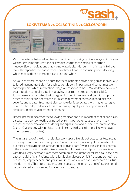# LOKIVETMAB vs. OCLACITINIB vs. CICLOSPORIN



With more tools being added to our toolkit for managing canine allergic skin disease we thought it may be useful to briefly discuss the three main licensed non glucocorticoid medications that are now available. Although it is fantastic to have more therapeutics to choose from, sometimes it can be confusing when deciding which medications / therapeutics to use and when.

As you are aware, there is no cure for these patients and deciding on an individually tailored management plan for each patient is very important and sometimes we cannot predict which medications dogs will respond to best. We do know however, that infection control is vital in managing pruritus (microbial and parasitic). It has been demonstrated that caregiver burden in owners of dogs with atopic or other chronic allergic dermatitis is linked to treatment complexity and disease severity and greater treatment plan complexity is associated with higher caregiver burden. The independence of this relationship highlights the importance of simplicity in effective treatment planning.

Before prescribing any of the following medications it is important that allergic skin disease has been correctly diagnosed by ruling out other causes of pruritus / recurrent pyoderma and considering the signalment and clinical presentation also (e.g. a 10 yr old dog with no history of allergic skin disease is more likely to have other causes of pruritus).

The initial steps of the dermatological workup are to rule out ectoparasites: a coat brushing to rule out fleas, hair plucks / skin scrapes / squeezing of the skin to rule out mites, and cytologic examination of skin and ears (even if the skin looks normal if the area is pruritic it is still wise to sample). Skin lesions and pruritus associated with flea allergy dermatitis are most common at the lumbosacral area, tail base, and caudomedial thighs. Patients with allergic skin disease exhibit frequent, sometimes recurrent, staphylococcal and yeast skin infections, which can exacerbate pruritus and dermatitis. Therefore, patients predisposed to secondary skin infection should be considered and screened for allergic skin disease.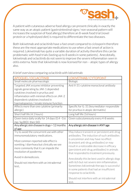A patient with cutaneous adverse food allergy can present clinically in exactly the same way as an atopic patient (gastrointestinal signs / non seasonal pattern will increases the suspicion of food allergy) therefore an 8-week food trial (novel protein or a hydrolysed diet) is required to differentiate the two diseases.

Both lokivetmab and oclacitinib have a fast onset compared to ciclosporin therefore these are the most appropriate medications to use when a fast onset of action is required. Lokivetmab has quite a variable duration of activity therefore this can be problematic with food trials (lasting up to 8 weeks in some patients). Anecdotally, lokivetmab and oclacitinib do not seem to improve the severe inflammation seen in otitis externa. Note that lokivetmab is now licensed for non – atopic types of allergy also.

| APOOUEL/OCLACITINIB                                                                                                                                                                                                                                | OKIVETMAB / CYTOPOINT                                                                                                                                                         |  |  |
|----------------------------------------------------------------------------------------------------------------------------------------------------------------------------------------------------------------------------------------------------|-------------------------------------------------------------------------------------------------------------------------------------------------------------------------------|--|--|
| Small molecule pharmacologic                                                                                                                                                                                                                       | <b>Biologic</b>                                                                                                                                                               |  |  |
| Targeted JAK enzyme inhibitor preventing<br>signals generating by JAK-1 depended<br>cytokines involved in pruritus and<br>inflammation with minimal effects on JAK-2<br>dependent cytokines involved in<br>haematopoeisis / innate immune function | Anti II-31-cytokine monoclonal antibody                                                                                                                                       |  |  |
| Affects more than one cytokine (primarily                                                                                                                                                                                                          | Specific for IL-31 (key mediator responsible                                                                                                                                  |  |  |
| allergic)                                                                                                                                                                                                                                          | for pruritus in atopic dermatitis)                                                                                                                                            |  |  |
| Short half life (4.1 hours)                                                                                                                                                                                                                        | Long half life (16 hours)                                                                                                                                                     |  |  |
| Given twice daily orally for 14 days (0.4 - 0.6<br>mg/kgBID) then SID                                                                                                                                                                              | Given subcutaneously every 4-8 weeks                                                                                                                                          |  |  |
| Any allergic skin disease in dogs > 12 months                                                                                                                                                                                                      | Any allergic skin disease in ANY age                                                                                                                                          |  |  |
| of age                                                                                                                                                                                                                                             |                                                                                                                                                                               |  |  |
| Try to avoid the concurrent use with other<br>immunomodulatory medications.<br>Most common reported side effect is<br>vomiting / diarrhoea but clinically we see                                                                                   | May induce transient or persistent anti-drug<br>antibodies. The induction of such antibodies<br>is uncommon and may have no effect<br>(transient anti-drug antibodies) or may |  |  |
| more commonly that it can impede the<br>resolution of pyoderma                                                                                                                                                                                     | result in a noticeable decrease in efficacy<br>(persistent anti-drug antibodies) in animals<br>that responded to treatment previously.                                        |  |  |
| Avoid in demodicosis.                                                                                                                                                                                                                              | Anecdotally this be best used in allergic dogs                                                                                                                                |  |  |
| Should not interfere with an intradermal<br>test                                                                                                                                                                                                   | with itch but not severe skin inflammation.<br>Sometimes lokivetmab therapy is successful<br>in some patients that had an insufficient<br>response to oclacitinib.            |  |  |
|                                                                                                                                                                                                                                                    | Should not interfere with an intradermal<br>test.                                                                                                                             |  |  |

A brief overview comparing oclacitinib with lokivetmab: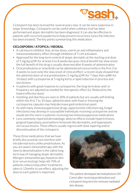

Ciclosporin has been licensed for several years now. It can be more expensive in larger breed dogs. Ciclosporin can be useful when a dietary trial has been performed and atopic dermatitis has been diagnosed. It can also be effective in patients with recurrent pyoderma to help prevent recurrence (once the infection has been treated). The key points summarising this medication:

# CICLOSPORIN / ATOPICA / NEORAL

- A calcineurin inhibitor that, at low doses, exerts an anti-inflammatory and immunomodulatory effect through inhibition of T-cell activation.
- Approved for the long-term control of atopic dermatits at the starting oral dose of 5 mg/kg q24h for at least 6 to 8 weeks because clinical benefit has slow onset; the full benefit of this drug is usually observed after 8 weeks of administration
- Oral predisolone or oclacitinib can be administered concurrently in the first 3 to 4 weeks to overcome the slow onset of clinical effect; a recent study showed that the administration of oral prednisolone (1 mg/kg q24h for 7 days then q48h for 14 days) with cyclosporine at 5 mg/kg led to a rapid reduction in pruritus and skin lesions
- In patients with good response to cyclosporine, the long-term dose and/ or frequency are adjusted as needed for therapeutic effect (i.e. Reduced to the lowest effective dose)
- Vomiting and diarrhea are seen in 30% of patients but are usually self-limiting within the first 7 to 10 days; administration with food or freezing the cyclosporine capsules may help decrease gastrointestinal upset.
- As with many immunosuppressive drugs, opportunistic infections (eg, fungal infections) may develop in susceptible individuals receiving cyclosporine and we would see this more in patients receiving two immunosuppresive medications
- Less commonly reported dermatologic adverse effects include hypertrichosis, gingival hyperplasia, psoriasiform-lichenoid-like dermatitis, and hyperplastic verrucous lesions. These effects usually regress with dose tapering and/or discontinuation of the ciclosporin.

These three medications that we have briefly discussed do not interfere with intradermal tests unlike prednisolone. As you are aware immunotherapy with the view to desensitisation is the safest long term way of managing atopic dermatitis. Allergen-immunotherapy (based on skin &/or serum testing): helps 60-70% of patients reduce/stop other treatments; takes 6-12mnths to see effect; adjusting the dose to each patient is important.



*This patient developed dermatophytosis (M. Canis) after receiving prednisolone and ciclosporin long term for immune mediated skin disease.*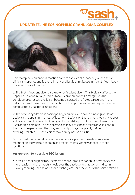

# UPDATE: FELINE EOSINOPHILIC GRANULOMA COMPLEX



This "complex" / cutaneous reaction pattern consists of a loosely grouped set of clinical syndromes and is the hall mark of allergic skin disease in the cat (flea / food / environmental allergens):

1)The first is indolent ulcer, also known as "rodent ulcer". This typically affects the upper lip. Lesions initially start as focal ulceration on the lip margin. As the condition progresses, the lip can become ulcerated and fibrotic, resulting in the deformation of the entire rostral portion of the lip. The lesion can be pruritic when complicated by bacterial infections.

2)The second syndrome is eosinophilic granuloma, also called "linear granuloma". Lesions can appear in a variety of locations. Lesions on the rear legs typically appear as linear areas of dermal thickening on the caudal aspect of the thigh. Erosion or ulceration is common. This syndrome also may present as proliferative lesions in the mouth, especially on the tongue or hard palate, or as poorly defined chin swelling ("fat chin"). These lesions may or may not be pruritic.

3) The third clinical syndrome is the eosinophilic plaque. These lesions are most frequent on the ventral abdomen and medial thighs, yet may appear in other locations.

### An approach to a possible EGC lesion:

• Obtain a thorough history, perform a thorough examination (always check the oral cavity, is there hypotrichosis over the caudoventral abdomen indicating overgrooming, take samples for a trichogram – are the ends of the hairs broken?).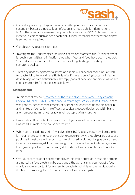

- Clinical signs and cytological examination (large numbers of eosinophils + secondary bacterial, intracellular infection and neutrophilic inflammation). NOTE these lesions can mimic neoplastic lesions such as SCC / fibrosarcoma or infectious lesions such as deep bacterial / fungal / viral disease therefore biopsy is sometimes required.
- Coat brushing to assess for fleas.
- Investigate the underlying cause using a parasite treatment trial (oral treatment is ideal) along with an elimination diet; when fleas and food have been ruled out, 'feline atopic syndrome is likely – consider allergy testing or treating symptomatically).
- Treat any underlying bacterial infection as this will prevent resolution a swab for bacterial culture and sensitivity is wise if there is ongoing bacterial infection despite appropriate antimicrobial therapy (correct dose and antibiotic) as we are seeing more MRSP infections (see below).

#### Management:

- [In this recent review \(Treatment of the feline atopic syndrome](https://onlinelibrary.wiley.com/doi/10.1111/vde.12933)  a systematic review - Mueller - 2021 - Veterinary Dermatology - Wiley Online Library), there was good evidence for the efficacy of systemic glucocorticoids and ciclosporin, and limited evidence for the efficacy of topical glucocorticoids, oclacitinib and allergen-specific immunotherapy in feline atopic skin syndrome
- Ensure strict flea control is in place, even if you cannot find evidence of fleas! Ensure all animals in the house are treated
- When starting a dietary trial (hydrolysed e.g. RC Anallergenic / novel protein) it is important to commence prednisolone concurrently. Although varied doses are published, most cats will respond to 1 mg/kg prednisolone as long as concurrent infections are managed. In an overweight cat it is wise to check a blood glucose level (an ear prick often works well) at the start of and at a recheck 2-3 weeks later.
- Oral glucocorticoids are preferential over injectable steroids in case side effects are noted; various treats can be used and although this may counteract a food trial it is more important for owners to be able to administer the medication in the first instance e.g. Dine Creamy treats or Fancy Feast pate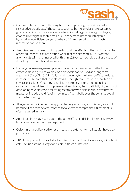

- Care must be taken with the long-term use of potent glucocorticoids due to the risk of adverse effects. Although cats seem to be more tolerant to systemic glucocorticoids than dogs, adverse effects including polydipsia, polyphagia, changes in weight, diabetes mellitus, urinary tract infection, iatrogenic hyperadrenocorticism, congestive heart failure, demodicosis and gastric ulceration can be seen.
- Prednisolone is tapered and stopped so that the effects of the food trial can be assessed. If there is a flare around week 8 of the dietary trial (90% of food allergic cats will have improved by this time), food can be ruled out as a cause of the allergic eosinophilic skin disease.
- For long term management, prednisolone should be weaned to the lowest effective dose e.g.twice weekly, or ciclosporin can be used as a long term treatment (7 mg / kg SID initially), again weaning to the lowest effective dose. It is important to note that toxoplasmosis although rare, has been reported on several occasions. Checking toxoplasma serology prior to commencing ciclosporin has advised: Toxoplasma-naïve cats may be at a slightly higher risk of developing toxoplasmosis following treatment with ciclosporin; preventative measures include avoid feeding raw meat, fitting bells over the collar to avoid successful hunting.
- Allergen-specific immunotherapy can be very effective, and it is very safe but because it can take several months to take effect, symptomatic treatment is often required initially.
- Antihistamines may have a steroid sparing effect: cetirizine 1 mg/kg every 24 hours can be effective in some patients.
- Oclacitinib is not licensed for use in cats and so far only small studies have been performed.
- TIP! it is important to look to look out for other / extra cutaneous signs in allergic cats – feline asthma, allergic otitis, sinusitis, conjunctivitis.